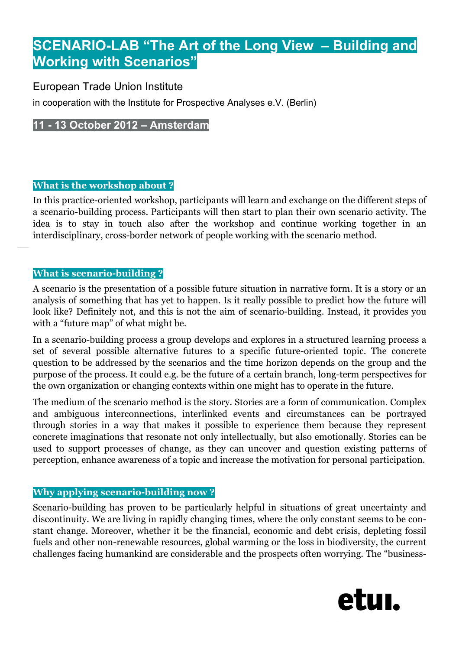# **SCENARIO-LAB "The Art of the Long View – Building and Working with Scenarios"**

## European Trade Union Institute

in cooperation with the Institute for Prospective Analyses e.V. (Berlin)

# **11 - 13 October 2012 – Amsterdam**

## **What is the workshop about ?**

In this practice-oriented workshop, participants will learn and exchange on the different steps of a scenario-building process. Participants will then start to plan their own scenario activity. The idea is to stay in touch also after the workshop and continue working together in an interdisciplinary, cross-border network of people working with the scenario method.

## **What is scenario-building ?**

A scenario is the presentation of a possible future situation in narrative form. It is a story or an analysis of something that has yet to happen. Is it really possible to predict how the future will look like? Definitely not, and this is not the aim of scenario-building. Instead, it provides you with a "future map" of what might be.

In a scenario-building process a group develops and explores in a structured learning process a set of several possible alternative futures to a specific future-oriented topic. The concrete question to be addressed by the scenarios and the time horizon depends on the group and the purpose of the process. It could e.g. be the future of a certain branch, long-term perspectives for the own organization or changing contexts within one might has to operate in the future.

The medium of the scenario method is the story. Stories are a form of communication. Complex and ambiguous interconnections, interlinked events and circumstances can be portrayed through stories in a way that makes it possible to experience them because they represent concrete imaginations that resonate not only intellectually, but also emotionally. Stories can be used to support processes of change, as they can uncover and question existing patterns of perception, enhance awareness of a topic and increase the motivation for personal participation.

#### **Why applying scenario-building now ?**

Scenario-building has proven to be particularly helpful in situations of great uncertainty and discontinuity. We are living in rapidly changing times, where the only constant seems to be constant change. Moreover, whether it be the financial, economic and debt crisis, depleting fossil fuels and other non-renewable resources, global warming or the loss in biodiversity, the current challenges facing humankind are considerable and the prospects often worrying. The "business-

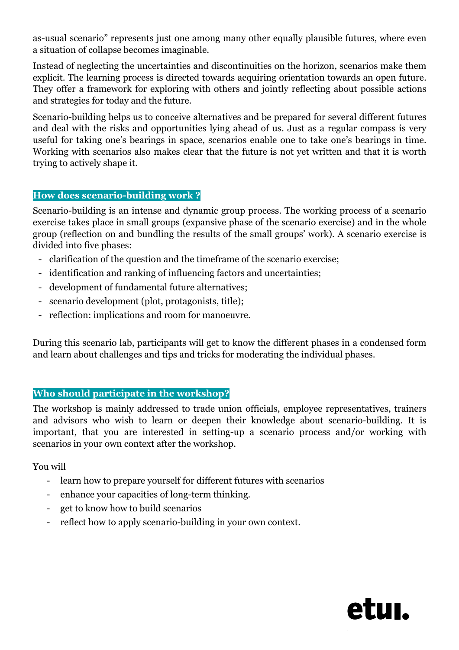as-usual scenario" represents just one among many other equally plausible futures, where even a situation of collapse becomes imaginable.

Instead of neglecting the uncertainties and discontinuities on the horizon, scenarios make them explicit. The learning process is directed towards acquiring orientation towards an open future. They offer a framework for exploring with others and jointly reflecting about possible actions and strategies for today and the future.

Scenario-building helps us to conceive alternatives and be prepared for several different futures and deal with the risks and opportunities lying ahead of us. Just as a regular compass is very useful for taking one's bearings in space, scenarios enable one to take one's bearings in time. Working with scenarios also makes clear that the future is not yet written and that it is worth trying to actively shape it.

#### **How does scenario-building work ?**

Scenario-building is an intense and dynamic group process. The working process of a scenario exercise takes place in small groups (expansive phase of the scenario exercise) and in the whole group (reflection on and bundling the results of the small groups' work). A scenario exercise is divided into five phases:

- clarification of the question and the timeframe of the scenario exercise;
- identification and ranking of influencing factors and uncertainties;
- development of fundamental future alternatives;
- scenario development (plot, protagonists, title);
- reflection: implications and room for manoeuvre.

During this scenario lab, participants will get to know the different phases in a condensed form and learn about challenges and tips and tricks for moderating the individual phases.

#### **Who should participate in the workshop?**

The workshop is mainly addressed to trade union officials, employee representatives, trainers and advisors who wish to learn or deepen their knowledge about scenario-building. It is important, that you are interested in setting-up a scenario process and/or working with scenarios in your own context after the workshop.

You will

- learn how to prepare yourself for different futures with scenarios
- enhance your capacities of long-term thinking.
- get to know how to build scenarios
- reflect how to apply scenario-building in your own context.